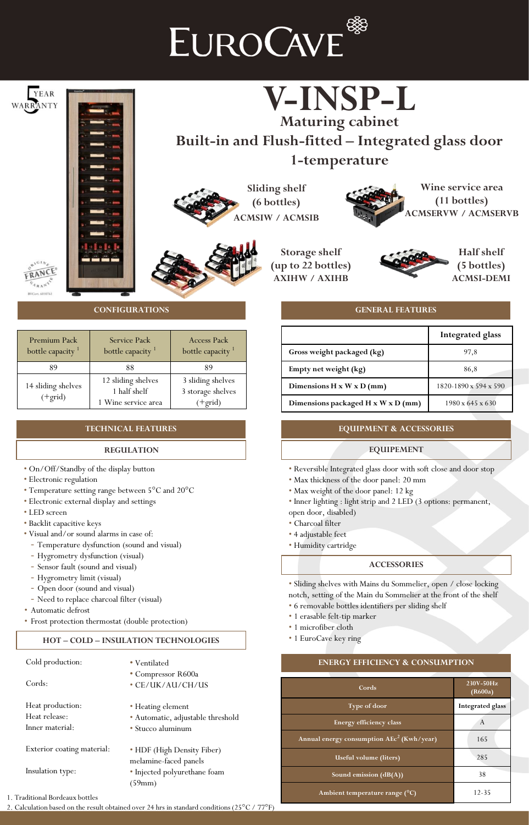## EUROCAVE<sup>®</sup>



2. Calculation based on the result obtained over 24 hrs in standard conditions (25°C / 77°F)